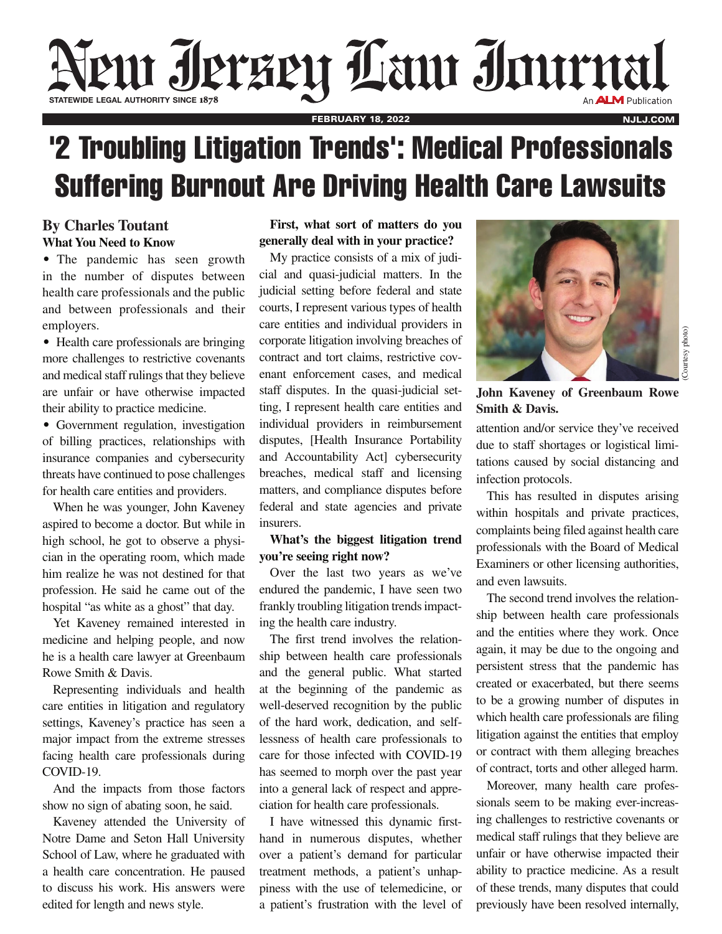# Neut Jersey Lauthor State

FEBRUARY 18, 2022

## '2 Troubling Litigation Trends': Medical Professionals Suffering Burnout Are Driving Health Care Lawsuits

#### **By Charles Toutant What You Need to Know**

• The pandemic has seen growth in the number of disputes between health care professionals and the public and between professionals and their employers.

• Health care professionals are bringing more challenges to restrictive covenants and medical staff rulings that they believe are unfair or have otherwise impacted their ability to practice medicine.

• Government regulation, investigation of billing practices, relationships with insurance companies and cybersecurity threats have continued to pose challenges for health care entities and providers.

When he was younger, John Kaveney aspired to become a doctor. But while in high school, he got to observe a physician in the operating room, which made him realize he was not destined for that profession. He said he came out of the hospital "as white as a ghost" that day.

Yet Kaveney remained interested in medicine and helping people, and now he is a health care lawyer at Greenbaum Rowe Smith & Davis.

Representing individuals and health care entities in litigation and regulatory settings, Kaveney's practice has seen a major impact from the extreme stresses facing health care professionals during COVID-19.

And the impacts from those factors show no sign of abating soon, he said.

Kaveney attended the University of Notre Dame and Seton Hall University School of Law, where he graduated with a health care concentration. He paused to discuss his work. His answers were edited for length and news style.

#### **First, what sort of matters do you generally deal with in your practice?**

My practice consists of a mix of judicial and quasi-judicial matters. In the judicial setting before federal and state courts, I represent various types of health care entities and individual providers in corporate litigation involving breaches of contract and tort claims, restrictive covenant enforcement cases, and medical staff disputes. In the quasi-judicial setting, I represent health care entities and individual providers in reimbursement disputes, [Health Insurance Portability and Accountability Act] cybersecurity breaches, medical staff and licensing matters, and compliance disputes before federal and state agencies and private insurers.

#### **What's the biggest litigation trend you're seeing right now?**

Over the last two years as we've endured the pandemic, I have seen two frankly troubling litigation trends impacting the health care industry.

The first trend involves the relationship between health care professionals and the general public. What started at the beginning of the pandemic as well-deserved recognition by the public of the hard work, dedication, and selflessness of health care professionals to care for those infected with COVID-19 has seemed to morph over the past year into a general lack of respect and appreciation for health care professionals.

I have witnessed this dynamic firsthand in numerous disputes, whether over a patient's demand for particular treatment methods, a patient's unhappiness with the use of telemedicine, or a patient's frustration with the level of



NJLJ.COM

**John Kaveney of Greenbaum Rowe Smith & Davis.** 

attention and/or service they've received due to staff shortages or logistical limitations caused by social distancing and infection protocols.

This has resulted in disputes arising within hospitals and private practices, complaints being filed against health care professionals with the Board of Medical Examiners or other licensing authorities, and even lawsuits.

The second trend involves the relationship between health care professionals and the entities where they work. Once again, it may be due to the ongoing and persistent stress that the pandemic has created or exacerbated, but there seems to be a growing number of disputes in which health care professionals are filing litigation against the entities that employ or contract with them alleging breaches of contract, torts and other alleged harm.

Moreover, many health care professionals seem to be making ever-increasing challenges to restrictive covenants or medical staff rulings that they believe are unfair or have otherwise impacted their ability to practice medicine. As a result of these trends, many disputes that could previously have been resolved internally,